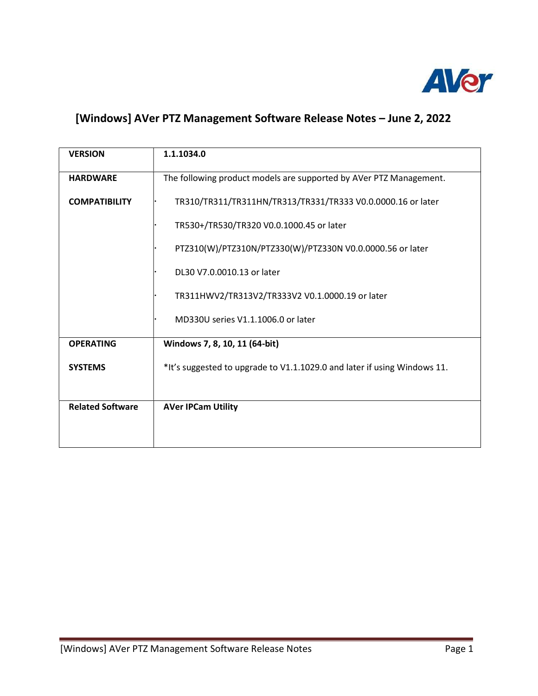

## [Windows] AVer PTZ Management Software Release Notes – June 2, 2022

| <b>VERSION</b>          | 1.1.1034.0                                                               |
|-------------------------|--------------------------------------------------------------------------|
| <b>HARDWARE</b>         | The following product models are supported by AVer PTZ Management.       |
| <b>COMPATIBILITY</b>    | TR310/TR311/TR311HN/TR313/TR331/TR333 V0.0.0000.16 or later              |
|                         | TR530+/TR530/TR320 V0.0.1000.45 or later                                 |
|                         | PTZ310(W)/PTZ310N/PTZ330(W)/PTZ330N V0.0.0000.56 or later                |
|                         | DL30 V7.0.0010.13 or later                                               |
|                         | TR311HWV2/TR313V2/TR333V2 V0.1.0000.19 or later                          |
|                         | MD330U series V1.1.1006.0 or later                                       |
| <b>OPERATING</b>        | Windows 7, 8, 10, 11 (64-bit)                                            |
| <b>SYSTEMS</b>          | *It's suggested to upgrade to V1.1.1029.0 and later if using Windows 11. |
|                         |                                                                          |
| <b>Related Software</b> | <b>AVer IPCam Utility</b>                                                |
|                         |                                                                          |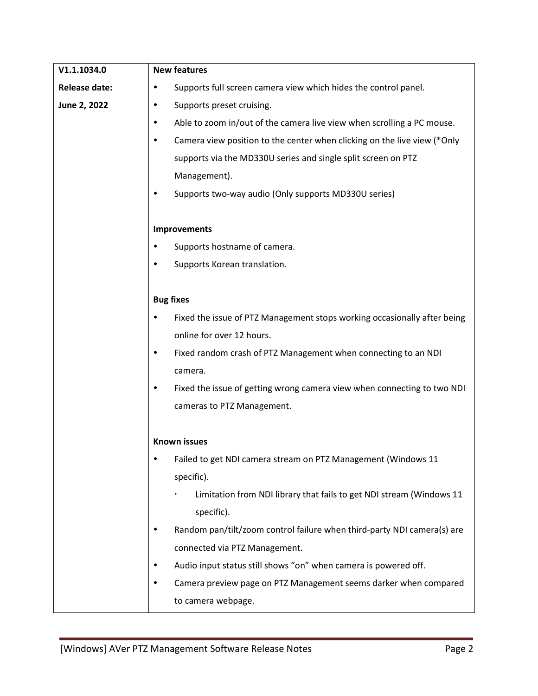| V1.1.1034.0          | <b>New features</b>                                                                                           |  |
|----------------------|---------------------------------------------------------------------------------------------------------------|--|
| <b>Release date:</b> | Supports full screen camera view which hides the control panel.                                               |  |
| June 2, 2022         | Supports preset cruising.<br>٠                                                                                |  |
|                      | Able to zoom in/out of the camera live view when scrolling a PC mouse.<br>٠                                   |  |
|                      | Camera view position to the center when clicking on the live view (*Only                                      |  |
|                      | supports via the MD330U series and single split screen on PTZ                                                 |  |
|                      | Management).                                                                                                  |  |
|                      | Supports two-way audio (Only supports MD330U series)                                                          |  |
|                      |                                                                                                               |  |
|                      | <b>Improvements</b>                                                                                           |  |
|                      | Supports hostname of camera.<br>٠                                                                             |  |
|                      | Supports Korean translation.                                                                                  |  |
|                      |                                                                                                               |  |
|                      | <b>Bug fixes</b>                                                                                              |  |
|                      | Fixed the issue of PTZ Management stops working occasionally after being                                      |  |
|                      | online for over 12 hours.                                                                                     |  |
|                      | Fixed random crash of PTZ Management when connecting to an NDI<br>٠                                           |  |
|                      | camera.                                                                                                       |  |
|                      | Fixed the issue of getting wrong camera view when connecting to two NDI                                       |  |
|                      | cameras to PTZ Management.                                                                                    |  |
|                      | <b>Known issues</b>                                                                                           |  |
|                      |                                                                                                               |  |
|                      | Failed to get NDI camera stream on PTZ Management (Windows 11<br>specific).                                   |  |
|                      | Limitation from NDI library that fails to get NDI stream (Windows 11                                          |  |
|                      | specific).                                                                                                    |  |
|                      |                                                                                                               |  |
|                      | Random pan/tilt/zoom control failure when third-party NDI camera(s) are<br>٠<br>connected via PTZ Management. |  |
|                      |                                                                                                               |  |
|                      | Audio input status still shows "on" when camera is powered off.<br>٠                                          |  |
|                      | Camera preview page on PTZ Management seems darker when compared                                              |  |
|                      | to camera webpage.                                                                                            |  |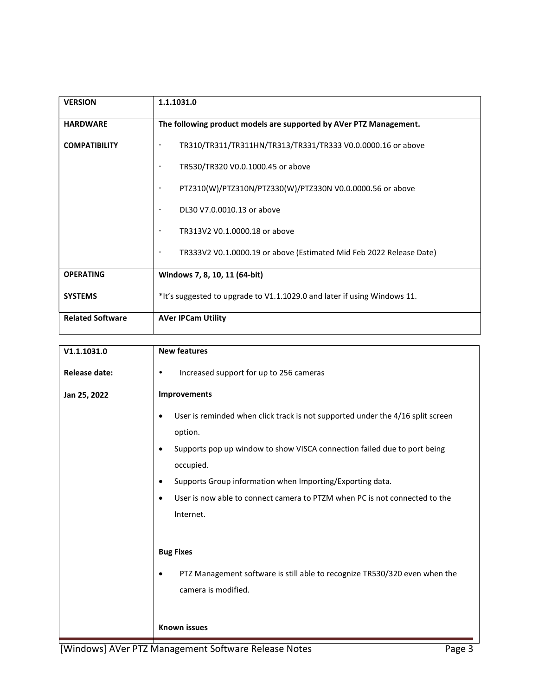| <b>VERSION</b>          | 1.1.1031.0                                                                       |
|-------------------------|----------------------------------------------------------------------------------|
| <b>HARDWARE</b>         | The following product models are supported by AVer PTZ Management.               |
| <b>COMPATIBILITY</b>    | TR310/TR311/TR311HN/TR313/TR331/TR333 V0.0.0000.16 or above                      |
|                         | TR530/TR320 V0.0.1000.45 or above<br>$\bullet$                                   |
|                         | PTZ310(W)/PTZ310N/PTZ330(W)/PTZ330N V0.0.0000.56 or above<br>$\bullet$           |
|                         | DL30 V7.0.0010.13 or above<br>$\bullet$                                          |
|                         | TR313V2 V0.1.0000.18 or above<br>$\bullet$                                       |
|                         | TR333V2 V0.1.0000.19 or above (Estimated Mid Feb 2022 Release Date)<br>$\bullet$ |
| <b>OPERATING</b>        | Windows 7, 8, 10, 11 (64-bit)                                                    |
| <b>SYSTEMS</b>          | *It's suggested to upgrade to V1.1.1029.0 and later if using Windows 11.         |
| <b>Related Software</b> | <b>AVer IPCam Utility</b>                                                        |

| V1.1.1031.0          | <b>New features</b>                                                                         |
|----------------------|---------------------------------------------------------------------------------------------|
| <b>Release date:</b> | Increased support for up to 256 cameras<br>$\bullet$                                        |
| Jan 25, 2022         | Improvements                                                                                |
|                      | User is reminded when click track is not supported under the 4/16 split screen<br>$\bullet$ |
|                      | option.                                                                                     |
|                      | Supports pop up window to show VISCA connection failed due to port being<br>$\bullet$       |
|                      | occupied.                                                                                   |
|                      | Supports Group information when Importing/Exporting data.<br>$\bullet$                      |
|                      | User is now able to connect camera to PTZM when PC is not connected to the<br>$\bullet$     |
|                      | Internet.                                                                                   |
|                      |                                                                                             |
|                      | <b>Bug Fixes</b>                                                                            |
|                      | PTZ Management software is still able to recognize TR530/320 even when the<br>$\bullet$     |
|                      | camera is modified.                                                                         |
|                      |                                                                                             |
|                      | <b>Known issues</b>                                                                         |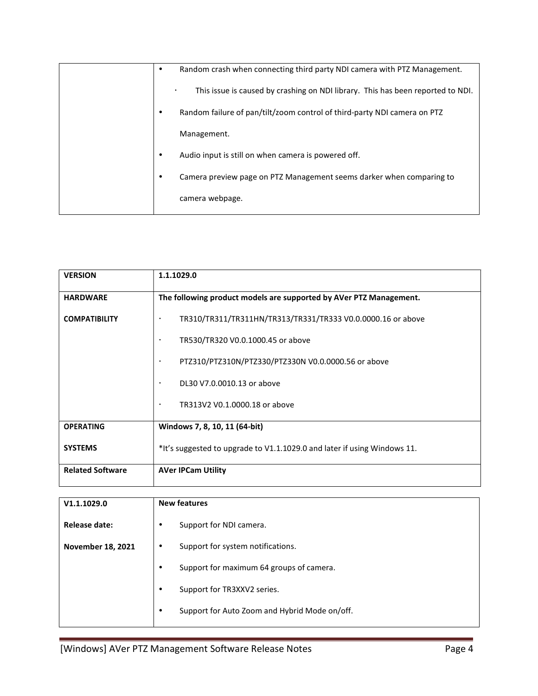| ٠ | Random crash when connecting third party NDI camera with PTZ Management.        |
|---|---------------------------------------------------------------------------------|
|   | This issue is caused by crashing on NDI library. This has been reported to NDI. |
|   | Random failure of pan/tilt/zoom control of third-party NDI camera on PTZ        |
|   | Management.                                                                     |
| ٠ | Audio input is still on when camera is powered off.                             |
| ٠ | Camera preview page on PTZ Management seems darker when comparing to            |
|   | camera webpage.                                                                 |

| <b>VERSION</b>          | 1.1.1029.0                                                               |
|-------------------------|--------------------------------------------------------------------------|
| <b>HARDWARE</b>         | The following product models are supported by AVer PTZ Management.       |
| <b>COMPATIBILITY</b>    | TR310/TR311/TR311HN/TR313/TR331/TR333 V0.0.0000.16 or above<br>$\bullet$ |
|                         | TR530/TR320 V0.0.1000.45 or above<br>$\bullet$                           |
|                         | PTZ310/PTZ310N/PTZ330/PTZ330N V0.0.0000.56 or above<br>$\bullet$         |
|                         | DL30 V7.0.0010.13 or above<br>$\bullet$                                  |
|                         | TR313V2 V0.1.0000.18 or above<br>$\bullet$                               |
| <b>OPERATING</b>        | Windows 7, 8, 10, 11 (64-bit)                                            |
| <b>SYSTEMS</b>          | *It's suggested to upgrade to V1.1.1029.0 and later if using Windows 11. |
| <b>Related Software</b> | <b>AVer IPCam Utility</b>                                                |

| V1.1.1029.0              | <b>New features</b>                                        |
|--------------------------|------------------------------------------------------------|
| Release date:            | Support for NDI camera.<br>٠                               |
| <b>November 18, 2021</b> | Support for system notifications.<br>٠                     |
|                          | Support for maximum 64 groups of camera.<br>$\bullet$      |
|                          | Support for TR3XXV2 series.<br>$\bullet$                   |
|                          | Support for Auto Zoom and Hybrid Mode on/off.<br>$\bullet$ |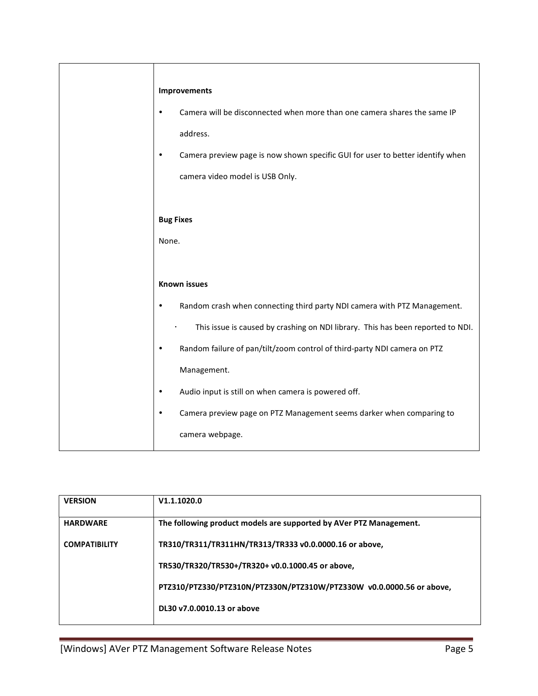| Camera preview page is now shown specific GUI for user to better identify when  |
|---------------------------------------------------------------------------------|
|                                                                                 |
|                                                                                 |
|                                                                                 |
|                                                                                 |
|                                                                                 |
|                                                                                 |
|                                                                                 |
| This issue is caused by crashing on NDI library. This has been reported to NDI. |
|                                                                                 |
|                                                                                 |
|                                                                                 |
|                                                                                 |
|                                                                                 |
| Random crash when connecting third party NDI camera with PTZ Management.        |

| <b>VERSION</b>       | V1.1.1020.0                                                          |
|----------------------|----------------------------------------------------------------------|
| <b>HARDWARE</b>      | The following product models are supported by AVer PTZ Management.   |
| <b>COMPATIBILITY</b> | TR310/TR311/TR311HN/TR313/TR333 v0.0.0000.16 or above,               |
|                      | TR530/TR320/TR530+/TR320+ v0.0.1000.45 or above,                     |
|                      | PTZ310/PTZ330/PTZ310N/PTZ330N/PTZ310W/PTZ330W v0.0.0000.56 or above, |
|                      | DL30 v7.0.0010.13 or above                                           |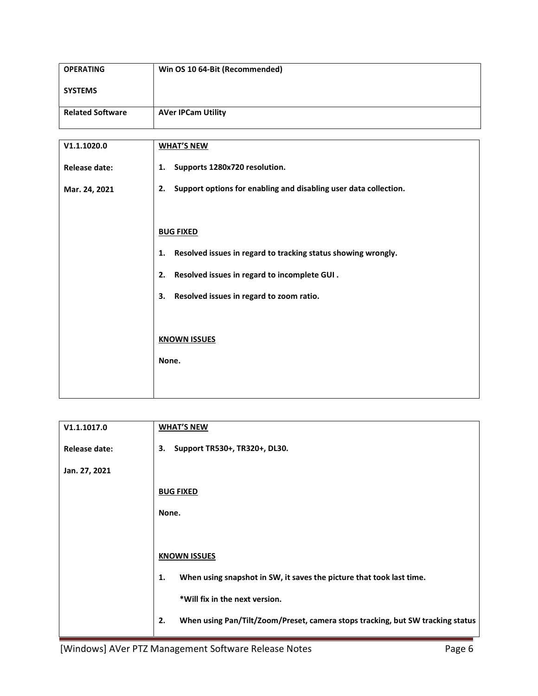| <b>OPERATING</b>        | Win OS 10 64-Bit (Recommended)                                      |
|-------------------------|---------------------------------------------------------------------|
| <b>SYSTEMS</b>          |                                                                     |
| <b>Related Software</b> | <b>AVer IPCam Utility</b>                                           |
|                         |                                                                     |
| V1.1.1020.0             | <b>WHAT'S NEW</b>                                                   |
| <b>Release date:</b>    | Supports 1280x720 resolution.<br>1.                                 |
| Mar. 24, 2021           | 2. Support options for enabling and disabling user data collection. |
|                         |                                                                     |
|                         | <b>BUG FIXED</b>                                                    |
|                         | Resolved issues in regard to tracking status showing wrongly.<br>1. |
|                         | Resolved issues in regard to incomplete GUI.<br>2.                  |
|                         | Resolved issues in regard to zoom ratio.<br>3.                      |
|                         |                                                                     |
|                         | <b>KNOWN ISSUES</b>                                                 |
|                         | None.                                                               |
|                         |                                                                     |

| V1.1.1017.0   | <b>WHAT'S NEW</b>                                                                    |
|---------------|--------------------------------------------------------------------------------------|
| Release date: | Support TR530+, TR320+, DL30.<br>3.                                                  |
| Jan. 27, 2021 |                                                                                      |
|               | <b>BUG FIXED</b>                                                                     |
|               | None.                                                                                |
|               |                                                                                      |
|               | <b>KNOWN ISSUES</b>                                                                  |
|               | When using snapshot in SW, it saves the picture that took last time.<br>1.           |
|               | *Will fix in the next version.                                                       |
|               | When using Pan/Tilt/Zoom/Preset, camera stops tracking, but SW tracking status<br>2. |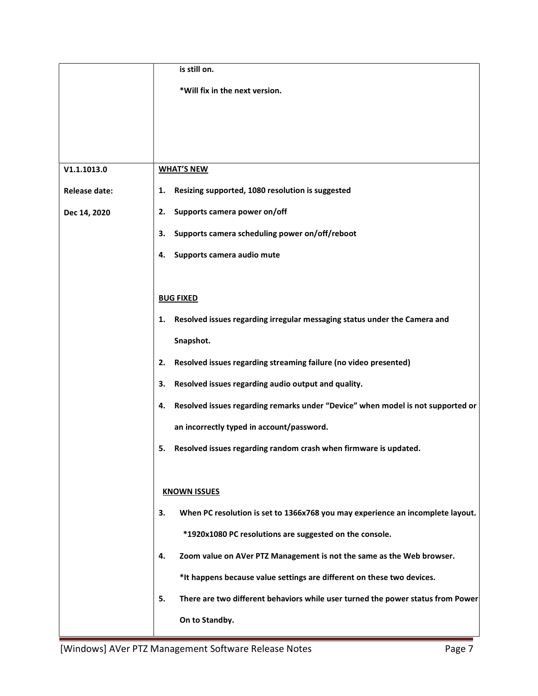|                      | is still on.                                                                          |
|----------------------|---------------------------------------------------------------------------------------|
|                      | *Will fix in the next version.                                                        |
|                      |                                                                                       |
|                      |                                                                                       |
|                      |                                                                                       |
| V1.1.1013.0          | <b>WHAT'S NEW</b>                                                                     |
| <b>Release date:</b> | Resizing supported, 1080 resolution is suggested<br>1.                                |
| Dec 14, 2020         | Supports camera power on/off<br>2.                                                    |
|                      | Supports camera scheduling power on/off/reboot<br>3.                                  |
|                      | Supports camera audio mute<br>4.                                                      |
|                      |                                                                                       |
|                      | <b>BUG FIXED</b>                                                                      |
|                      | Resolved issues regarding irregular messaging status under the Camera and<br>1.       |
|                      | Snapshot.                                                                             |
|                      | Resolved issues regarding streaming failure (no video presented)<br>2.                |
|                      | Resolved issues regarding audio output and quality.<br>3.                             |
|                      | Resolved issues regarding remarks under "Device" when model is not supported or<br>4. |
|                      | an incorrectly typed in account/password.                                             |
|                      | Resolved issues regarding random crash when firmware is updated.<br>5.                |
|                      |                                                                                       |
|                      | <b>KNOWN ISSUES</b>                                                                   |
|                      | When PC resolution is set to 1366x768 you may experience an incomplete layout.<br>3.  |
|                      | *1920x1080 PC resolutions are suggested on the console.                               |
|                      | 4.<br>Zoom value on AVer PTZ Management is not the same as the Web browser.           |
|                      | *It happens because value settings are different on these two devices.                |
|                      | 5.<br>There are two different behaviors while user turned the power status from Power |
|                      | On to Standby.                                                                        |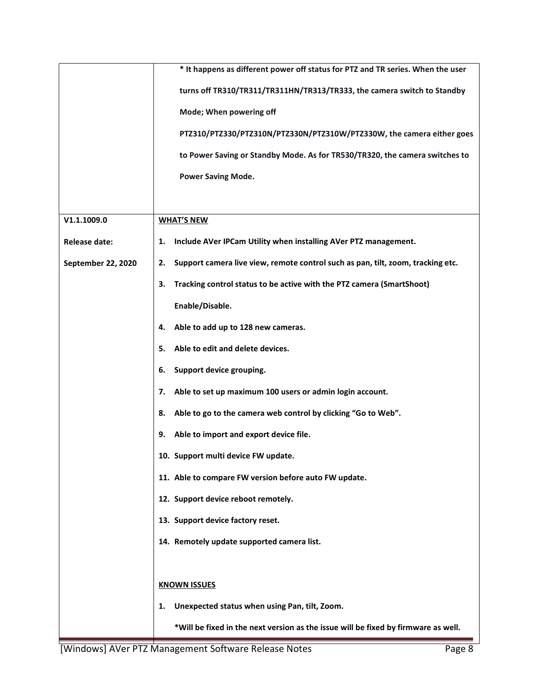|                      | * It happens as different power off status for PTZ and TR series. When the user       |
|----------------------|---------------------------------------------------------------------------------------|
|                      | turns off TR310/TR311/TR311HN/TR313/TR333, the camera switch to Standby               |
|                      | Mode; When powering off                                                               |
|                      | PTZ310/PTZ330/PTZ310N/PTZ330N/PTZ310W/PTZ330W, the camera either goes                 |
|                      | to Power Saving or Standby Mode. As for TR530/TR320, the camera switches to           |
|                      | <b>Power Saving Mode.</b>                                                             |
|                      |                                                                                       |
| V1.1.1009.0          | <b>WHAT'S NEW</b>                                                                     |
| <b>Release date:</b> | Include AVer IPCam Utility when installing AVer PTZ management.<br>1.                 |
| September 22, 2020   | Support camera live view, remote control such as pan, tilt, zoom, tracking etc.<br>2. |
|                      | Tracking control status to be active with the PTZ camera (SmartShoot)<br>з.           |
|                      | Enable/Disable.                                                                       |
|                      | Able to add up to 128 new cameras.<br>4.                                              |
|                      | Able to edit and delete devices.<br>5.                                                |
|                      | Support device grouping.<br>6.                                                        |
|                      | Able to set up maximum 100 users or admin login account.<br>7.                        |
|                      | Able to go to the camera web control by clicking "Go to Web".<br>8.                   |
|                      | Able to import and export device file.<br>9.                                          |
|                      | 10. Support multi device FW update.                                                   |
|                      | 11. Able to compare FW version before auto FW update.                                 |
|                      | 12. Support device reboot remotely.                                                   |
|                      | 13. Support device factory reset.                                                     |
|                      | 14. Remotely update supported camera list.                                            |
|                      |                                                                                       |
|                      | <b>KNOWN ISSUES</b>                                                                   |
|                      | Unexpected status when using Pan, tilt, Zoom.<br>1.                                   |
|                      | *Will be fixed in the next version as the issue will be fixed by firmware as well.    |